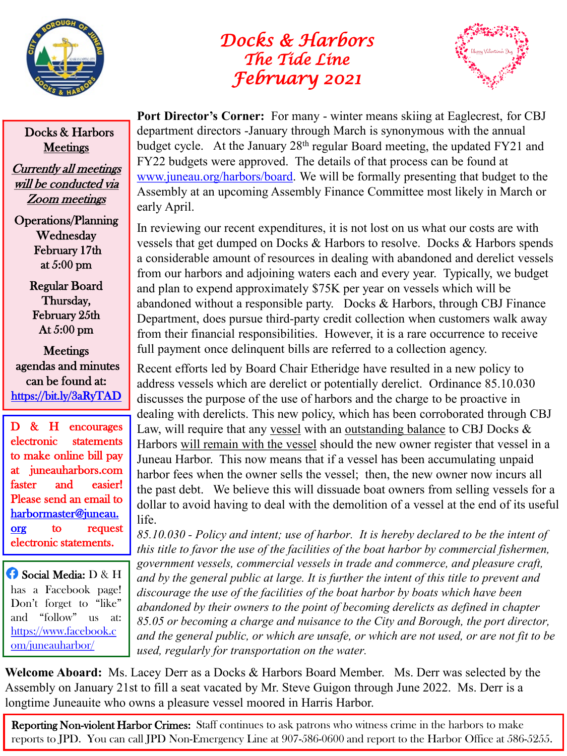

## *Docks & Harbors The Tide Line February 2021*



Docks & Harbors **Meetings** 

Currently all meetings will be conducted via Zoom meetings

Operations/Planning Wednesday February 17th at 5:00 pm

> Regular Board Thursday, February 25th At 5:00 pm

**Meetings** agendas and minutes can be found at: <https://bit.ly/3aRyTAD>

D & H encourages electronic statements to make online bill pay at juneauharbors.com faster and easier! Please send an email to [harbormaster@juneau.](mailto:harbormaster@juneau.org) org to request electronic statements.

Social Media: D & H has a Facebook page! Don't forget to "like" and "follow" us at: [https://www.facebook.c](https://www.facebook.com/juneauharbor/) om/juneauharbor/

Port Director's Corner: For many - winter means skiing at Eaglecrest, for CBJ department directors -January through March is synonymous with the annual budget cycle. At the January 28th regular Board meeting, the updated FY21 and FY22 budgets were approved. The details of that process can be found at [www.juneau.org/harbors/board.](http://www.juneau.org/harbors/board) We will be formally presenting that budget to the Assembly at an upcoming Assembly Finance Committee most likely in March or early April.

In reviewing our recent expenditures, it is not lost on us what our costs are with vessels that get dumped on Docks & Harbors to resolve. Docks & Harbors spends a considerable amount of resources in dealing with abandoned and derelict vessels from our harbors and adjoining waters each and every year. Typically, we budget and plan to expend approximately \$75K per year on vessels which will be abandoned without a responsible party. Docks & Harbors, through CBJ Finance Department, does pursue third-party credit collection when customers walk away from their financial responsibilities. However, it is a rare occurrence to receive full payment once delinquent bills are referred to a collection agency.

Recent efforts led by Board Chair Etheridge have resulted in a new policy to address vessels which are derelict or potentially derelict. Ordinance 85.10.030 discusses the purpose of the use of harbors and the charge to be proactive in dealing with derelicts. This new policy, which has been corroborated through CBJ Law, will require that any vessel with an outstanding balance to CBJ Docks & Harbors will remain with the vessel should the new owner register that vessel in a Juneau Harbor. This now means that if a vessel has been accumulating unpaid harbor fees when the owner sells the vessel; then, the new owner now incurs all the past debt. We believe this will dissuade boat owners from selling vessels for a dollar to avoid having to deal with the demolition of a vessel at the end of its useful life.

*85.10.030 - Policy and intent; use of harbor. It is hereby declared to be the intent of this title to favor the use of the facilities of the boat harbor by commercial fishermen, government vessels, commercial vessels in trade and commerce, and pleasure craft, and by the general public at large. It is further the intent of this title to prevent and discourage the use of the facilities of the boat harbor by boats which have been abandoned by their owners to the point of becoming derelicts as defined in chapter 85.05 or becoming a charge and nuisance to the City and Borough, the port director, and the general public, or which are unsafe, or which are not used, or are not fit to be used, regularly for transportation on the water.*

**Welcome Aboard:** Ms. Lacey Derr as a Docks & Harbors Board Member. Ms. Derr was selected by the Assembly on January 21st to fill a seat vacated by Mr. Steve Guigon through June 2022. Ms. Derr is a longtime Juneauite who owns a pleasure vessel moored in Harris Harbor.

Reporting Non-violent Harbor Crimes: Staff continues to ask patrons who witness crime in the harbors to make reports to JPD. You can call JPD Non-Emergency Line at 907-586-0600 and report to the Harbor Office at 586-5255.